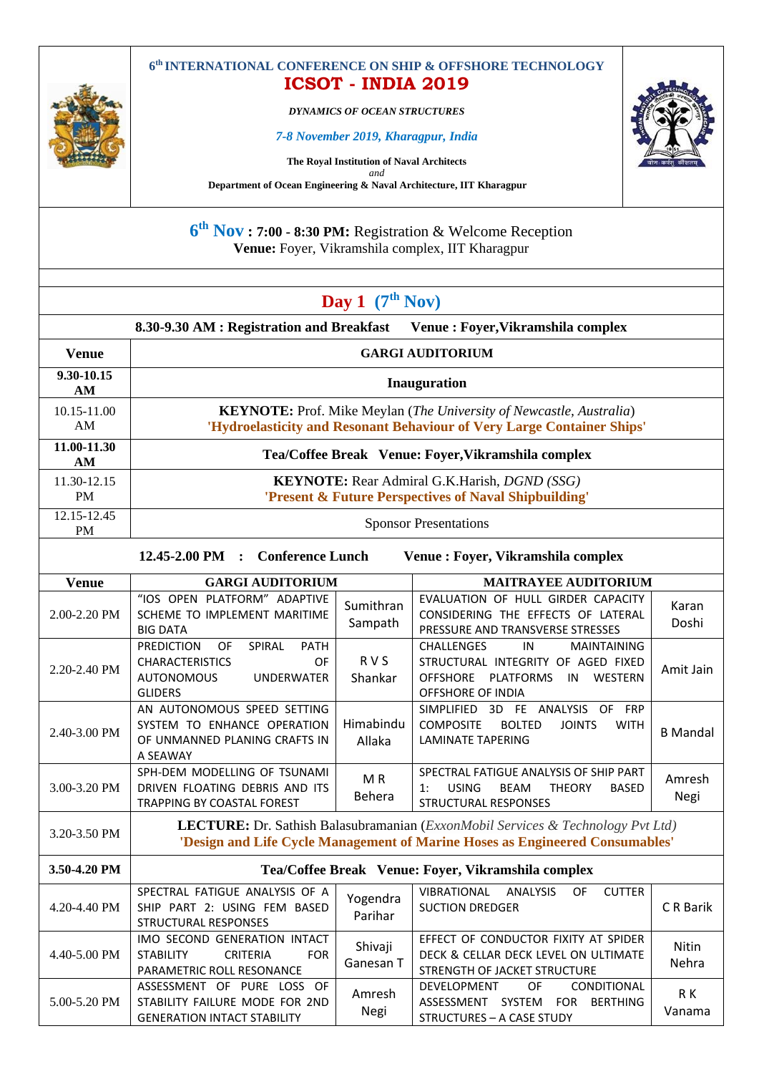

*DYNAMICS OF OCEAN STRUCTURES*

## *7-8 November 2019, Kharagpur, India*

**The Royal Institution of Naval Architects**

*and* **Department of Ocean Engineering & Naval Architecture, IIT Kharagpur**

**6 th Nov : 7:00 - 8:30 PM:** Registration & Welcome Reception **Venue:** Foyer, Vikramshila complex, IIT Kharagpur

|                          |                                                                                                                                                      | Day 1 $(7th Nov)$     |                                                                                                                                                        |                 |  |  |
|--------------------------|------------------------------------------------------------------------------------------------------------------------------------------------------|-----------------------|--------------------------------------------------------------------------------------------------------------------------------------------------------|-----------------|--|--|
|                          | 8.30-9.30 AM : Registration and Breakfast                                                                                                            |                       | Venue : Foyer, Vikramshila complex                                                                                                                     |                 |  |  |
| <b>Venue</b>             | <b>GARGI AUDITORIUM</b>                                                                                                                              |                       |                                                                                                                                                        |                 |  |  |
| 9.30-10.15<br>AM         | Inauguration                                                                                                                                         |                       |                                                                                                                                                        |                 |  |  |
| 10.15-11.00<br>AM        | <b>KEYNOTE:</b> Prof. Mike Meylan (The University of Newcastle, Australia)<br>'Hydroelasticity and Resonant Behaviour of Very Large Container Ships' |                       |                                                                                                                                                        |                 |  |  |
| 11.00-11.30<br>AM        | Tea/Coffee Break Venue: Foyer, Vikramshila complex                                                                                                   |                       |                                                                                                                                                        |                 |  |  |
| 11.30-12.15<br><b>PM</b> |                                                                                                                                                      |                       | <b>KEYNOTE:</b> Rear Admiral G.K.Harish, <i>DGND</i> (SSG)<br>'Present & Future Perspectives of Naval Shipbuilding'                                    |                 |  |  |
| 12.15-12.45<br><b>PM</b> | <b>Sponsor Presentations</b>                                                                                                                         |                       |                                                                                                                                                        |                 |  |  |
|                          | <b>Conference Lunch</b><br>$12.45 - 2.00$ PM :                                                                                                       |                       | Venue : Foyer, Vikramshila complex                                                                                                                     |                 |  |  |
| <b>Venue</b>             | <b>GARGI AUDITORIUM</b>                                                                                                                              |                       | <b>MAITRAYEE AUDITORIUM</b>                                                                                                                            |                 |  |  |
| 2.00-2.20 PM             | "IOS OPEN PLATFORM" ADAPTIVE<br>SCHEME TO IMPLEMENT MARITIME<br><b>BIG DATA</b>                                                                      | Sumithran<br>Sampath  | EVALUATION OF HULL GIRDER CAPACITY<br>CONSIDERING THE EFFECTS OF LATERAL<br>PRESSURE AND TRANSVERSE STRESSES                                           | Karan<br>Doshi  |  |  |
| 2.20-2.40 PM             | SPIRAL<br><b>PREDICTION</b><br>OF<br><b>PATH</b><br><b>CHARACTERISTICS</b><br>OF<br><b>AUTONOMOUS</b><br><b>UNDERWATER</b><br><b>GLIDERS</b>         | <b>RVS</b><br>Shankar | <b>CHALLENGES</b><br>IN<br><b>MAINTAINING</b><br>STRUCTURAL INTEGRITY OF AGED FIXED<br>OFFSHORE PLATFORMS<br>WESTERN<br>IN<br><b>OFFSHORE OF INDIA</b> | Amit Jain       |  |  |
| 2.40-3.00 PM             | AN AUTONOMOUS SPEED SETTING<br>SYSTEM TO ENHANCE OPERATION<br>OF UNMANNED PLANING CRAFTS IN<br>A SEAWAY                                              | Himabindu<br>Allaka   | SIMPLIFIED 3D FE ANALYSIS<br>OF FRP<br><b>COMPOSITE</b><br><b>BOLTED</b><br><b>JOINTS</b><br><b>WITH</b><br><b>LAMINATE TAPERING</b>                   | <b>B</b> Mandal |  |  |
| 3.00-3.20 PM             | SPH-DEM MODELLING OF TSUNAMI<br>DRIVEN FLOATING DEBRIS AND ITS<br>TRADDING BY COACTAL FOREST                                                         | MR<br><b>Behera</b>   | SPECTRAL FATIGUE ANALYSIS OF SHIP PART<br><b>USING</b><br><b>BEAM</b><br><b>THEORY</b><br><b>BASED</b><br>1:<br>CTBUCTURAL BECBOMCEC                   | Amresh<br>Negi  |  |  |

3.20-3.50 PM **LECTURE:** Dr. Sathish Balasubramanian (*ExxonMobil Services & Technology Pvt Ltd)* **'Design and Life Cycle Management of Marine Hoses as Engineered Consumables' 3.50-4.20 PM Tea/Coffee Break Venue: Foyer, Vikramshila complex** 4.20-4.40 PM SPECTRAL FATIGUE ANALYSIS OF A SHIP PART 2: USING FEM BASED STRUCTURAL RESPONSES Yogendra Parihar VIBRATIONAL ANALYSIS OF CUTTER SUCTION DREDGER CR Barik IMO SECOND GENERATION INTACT EFFECT OF CONDUCTOR FIXITY AT SPIDER

STRUCTURAL RESPONSES

TRAPPING BY COASTAL FOREST

| $4.40 - 5.00$ PM | IMO SECOND GENERATION INTACT<br>STABILITY<br><b>CRITERIA</b><br><b>FOR</b> | Shivaji   | EFFECT OF CONDUCTOR FIXITY AT SPIDER<br>DECK & CELLAR DECK LEVEL ON ULTIMATE | Nitin  |
|------------------|----------------------------------------------------------------------------|-----------|------------------------------------------------------------------------------|--------|
|                  | PARAMETRIC ROLL RESONANCE                                                  | Ganesan T | STRENGTH OF JACKET STRUCTURE                                                 | Nehra  |
|                  | ASSESSMENT OF PURE LOSS OF                                                 | Amresh    | <b>CONDITIONAL</b><br>DEVELOPMENT<br>OF                                      | R K    |
| $5.00 - 5.20$ PM | STABILITY FAILURE MODE FOR 2ND                                             | Negi      | <b>SYSTEM</b><br>ASSESSMENT<br>BERTHING<br><b>FOR</b>                        | Vanama |
|                  | <b>GENERATION INTACT STABILITY</b>                                         |           | STRUCTURES - A CASE STUDY                                                    |        |